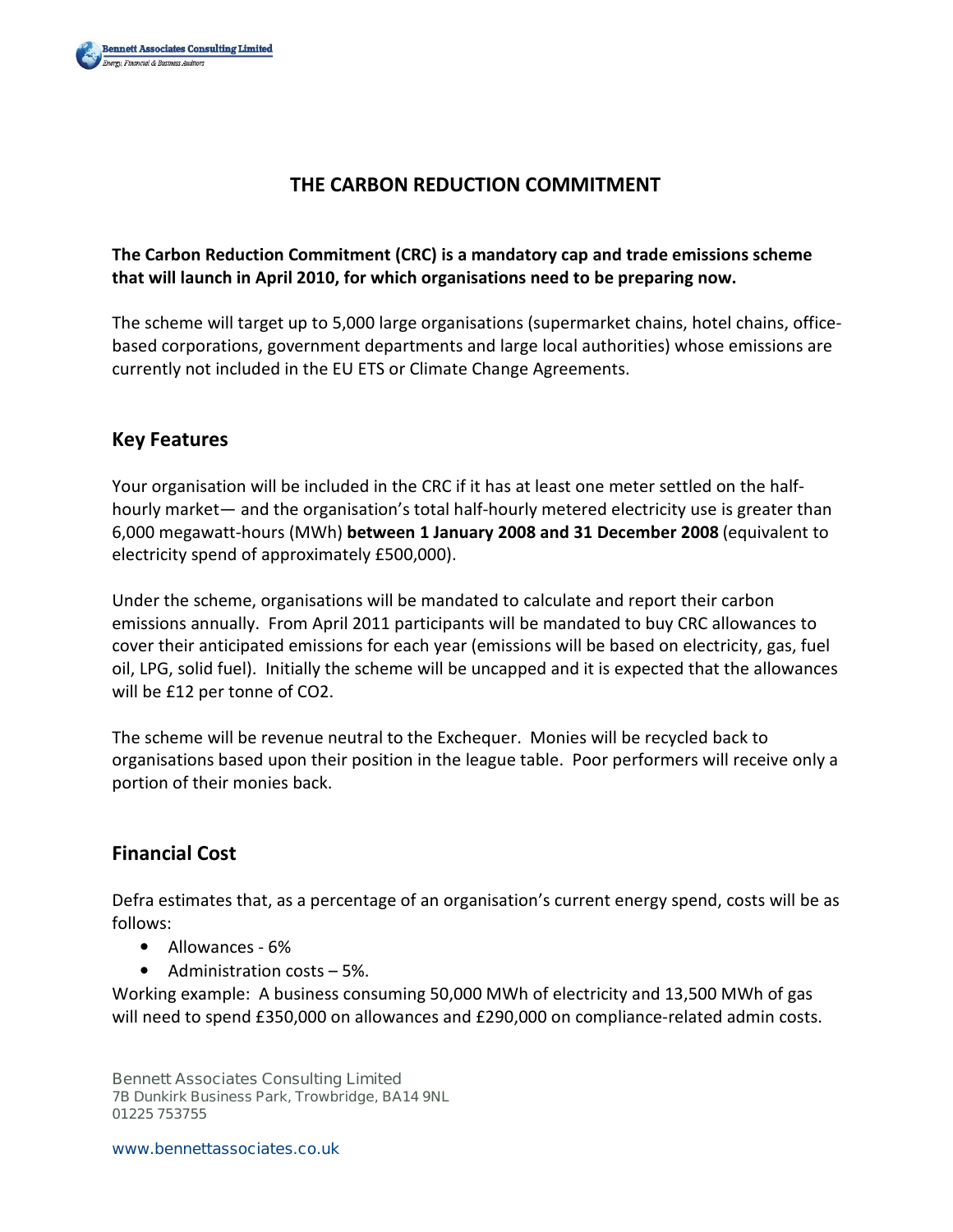

# THE CARBON REDUCTION COMMITMENT

#### The Carbon Reduction Commitment (CRC) is a mandatory cap and trade emissions scheme that will launch in April 2010, for which organisations need to be preparing now.

The scheme will target up to 5,000 large organisations (supermarket chains, hotel chains, officebased corporations, government departments and large local authorities) whose emissions are currently not included in the EU ETS or Climate Change Agreements.

## Key Features

Your organisation will be included in the CRC if it has at least one meter settled on the halfhourly market— and the organisation's total half-hourly metered electricity use is greater than 6,000 megawatt-hours (MWh) between 1 January 2008 and 31 December 2008 (equivalent to electricity spend of approximately £500,000).

Under the scheme, organisations will be mandated to calculate and report their carbon emissions annually. From April 2011 participants will be mandated to buy CRC allowances to cover their anticipated emissions for each year (emissions will be based on electricity, gas, fuel oil, LPG, solid fuel). Initially the scheme will be uncapped and it is expected that the allowances will be £12 per tonne of CO2.

The scheme will be revenue neutral to the Exchequer. Monies will be recycled back to organisations based upon their position in the league table. Poor performers will receive only a portion of their monies back.

### Financial Cost

Defra estimates that, as a percentage of an organisation's current energy spend, costs will be as follows:

- Allowances 6%
- Administration costs 5%.

Working example: A business consuming 50,000 MWh of electricity and 13,500 MWh of gas will need to spend £350,000 on allowances and £290,000 on compliance-related admin costs.

**Bennett Associates Consulting Limited 7B Dunkirk Business Park, Trowbridge, BA14 9NL 01225 753755**